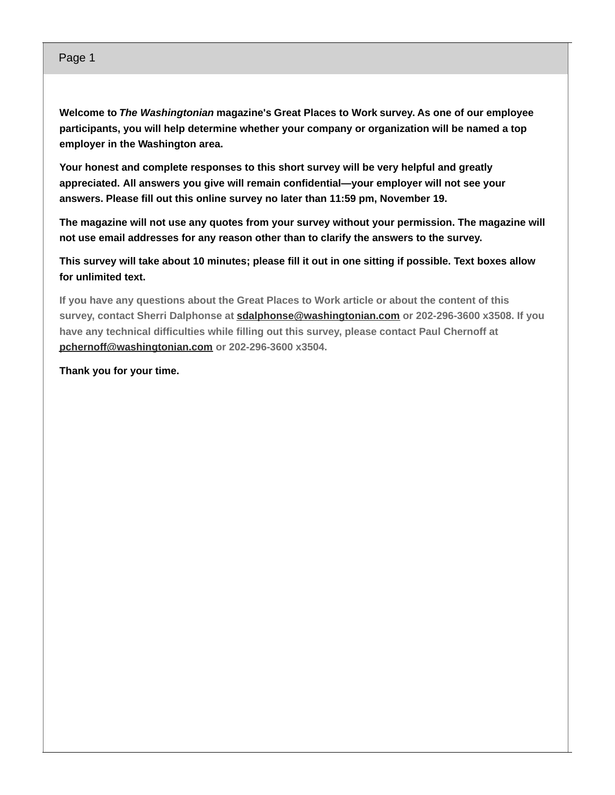### Page 1

**Welcome to** *The Washingtonian* **magazine's Great Places to Work survey. As one of our employee participants, you will help determine whether your company or organization will be named a top employer in the Washington area.**

**Your honest and complete responses to this short survey will be very helpful and greatly appreciated. All answers you give will remain confidential—your employer will not see your answers. Please fill out this online survey no later than 11:59 pm, November 19.**

**The magazine will not use any quotes from your survey without your permission. The magazine will not use email addresses for any reason other than to clarify the answers to the survey.**

This survey will take about 10 minutes; please fill it out in one sitting if possible. Text boxes allow **for unlimited text.**

**If you have any questions about the Great Places to Work article or about the content of this survey, contact Sherri Dalphonse at [sdalphonse@washingtonian.com](mailto:sdalphonse@washingtonian.com) or 202-296-3600 x3508. If you have any technical difficulties while filling out this survey, please contact Paul Chernoff at [pchernoff@washingtonian.com](mailto:pchernoff@washingtonian.com) or 202-296-3600 x3504.**

**Thank you for your time.**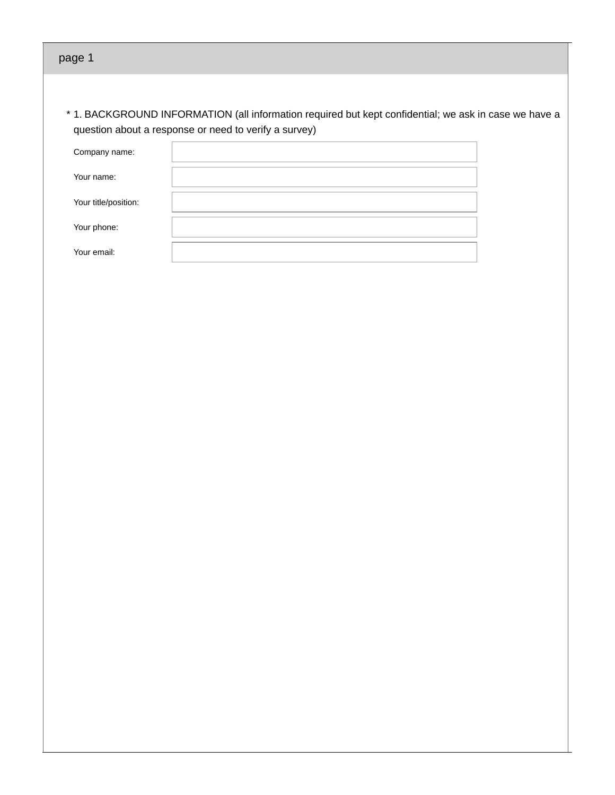| * 1. BACKGROUND INFORMATION (all information required but kept confidential; we ask in case we have a |  |
|-------------------------------------------------------------------------------------------------------|--|
| question about a response or need to verify a survey)                                                 |  |

| Company name:        |  |
|----------------------|--|
| Your name:           |  |
| Your title/position: |  |
| Your phone:          |  |
| Your email:          |  |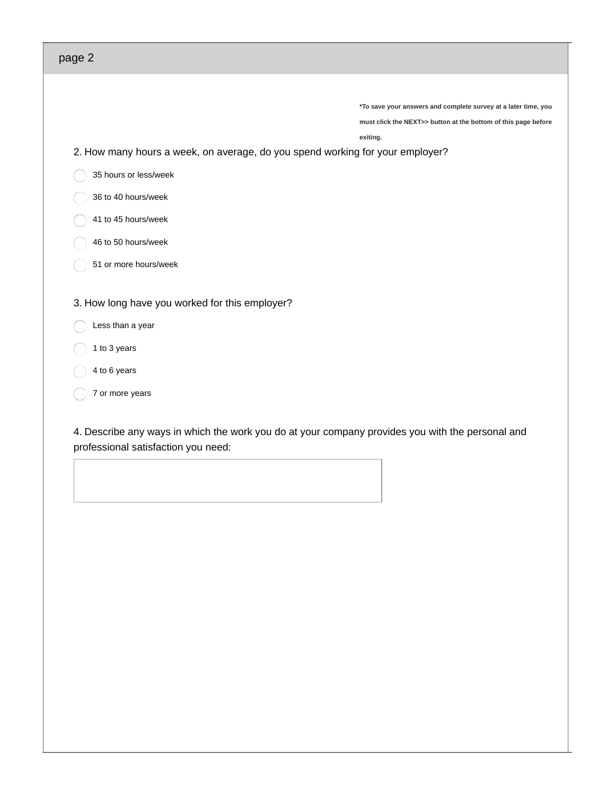**\*To save your answers and complete survey at a later time, you**

**must click the NEXT>> button at the bottom of this page before**

**exiting.**

2. How many hours a week, on average, do you spend working for your employer?

- 35 hours or less/week
- 36 to 40 hours/week
- 41 to 45 hours/week
- 46 to 50 hours/week
- 51 or more hours/week
- 3. How long have you worked for this employer?
	- Less than a year
- 1 to 3 years
- 4 to 6 years
- 7 or more years

4. Describe any ways in which the work you do at your company provides you with the personal and professional satisfaction you need: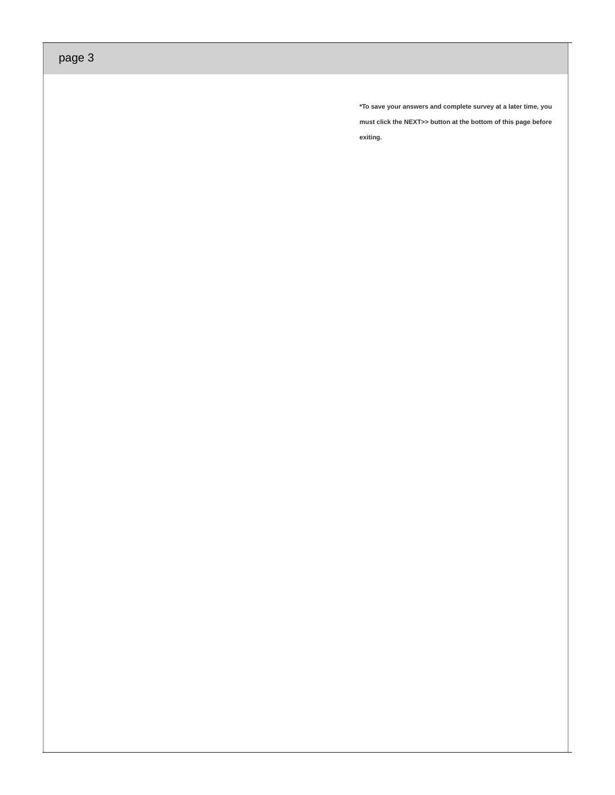**\*To save your answers and complete survey at a later time, you must click the NEXT>> button at the bottom of this page before exiting.**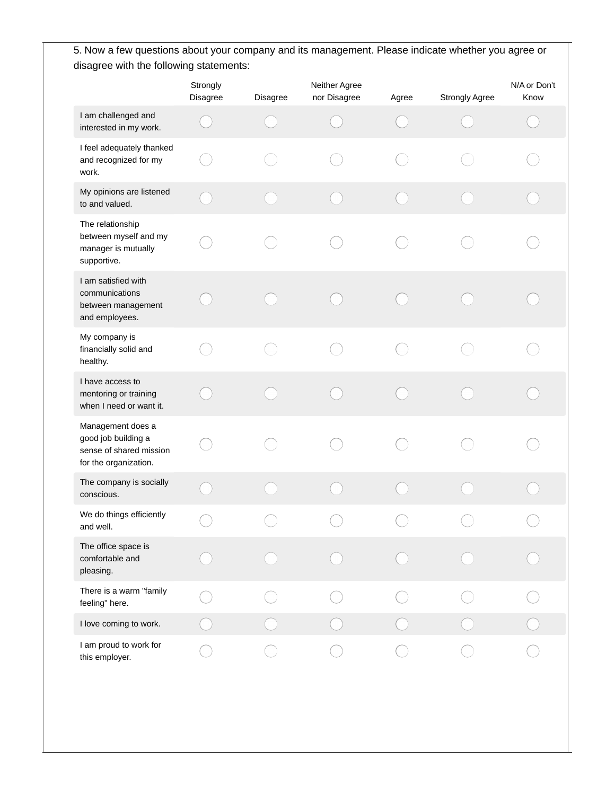5. Now a few questions about your company and its management. Please indicate whether you agree or disagree with the following statements:

|                                                                                              | Strongly<br>Disagree | Disagree | Neither Agree<br>nor Disagree | Agree | <b>Strongly Agree</b> | N/A or Don't<br>Know |
|----------------------------------------------------------------------------------------------|----------------------|----------|-------------------------------|-------|-----------------------|----------------------|
| I am challenged and<br>interested in my work.                                                |                      |          |                               |       |                       |                      |
| I feel adequately thanked<br>and recognized for my<br>work.                                  |                      |          |                               |       |                       |                      |
| My opinions are listened<br>to and valued.                                                   |                      |          |                               |       |                       |                      |
| The relationship<br>between myself and my<br>manager is mutually<br>supportive.              |                      |          |                               |       |                       |                      |
| I am satisfied with<br>communications<br>between management<br>and employees.                |                      |          |                               |       |                       |                      |
| My company is<br>financially solid and<br>healthy.                                           |                      |          |                               |       |                       |                      |
| I have access to<br>mentoring or training<br>when I need or want it.                         |                      |          |                               |       |                       |                      |
| Management does a<br>good job building a<br>sense of shared mission<br>for the organization. |                      |          |                               |       |                       |                      |
| The company is socially<br>conscious.                                                        |                      |          |                               |       |                       |                      |
| We do things efficiently<br>and well.                                                        |                      |          |                               |       |                       |                      |
| The office space is<br>comfortable and<br>pleasing.                                          |                      |          |                               |       |                       |                      |
| There is a warm "family<br>feeling" here.                                                    |                      |          |                               |       |                       |                      |
| I love coming to work.                                                                       |                      |          |                               |       |                       |                      |
| I am proud to work for<br>this employer.                                                     |                      |          |                               |       |                       |                      |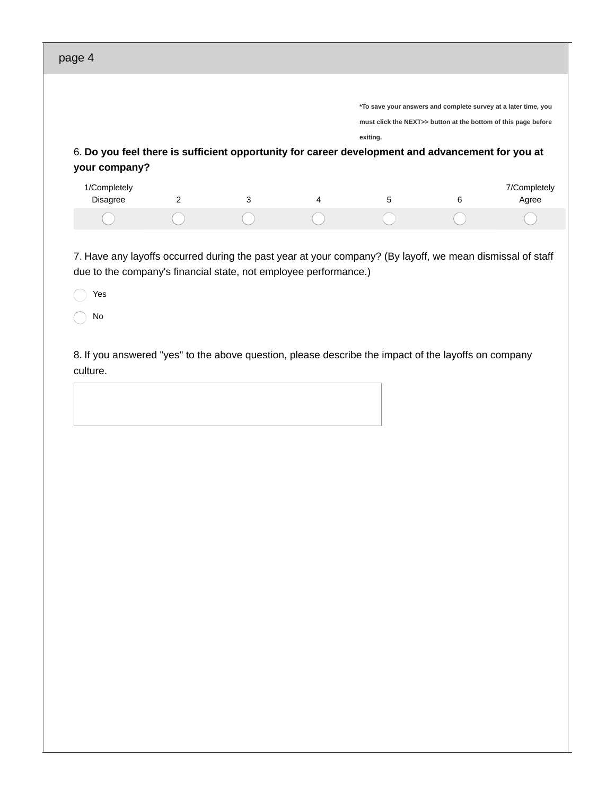| page 4                                                                                                                                                                               |   |   |   |          |                                                                |                       |
|--------------------------------------------------------------------------------------------------------------------------------------------------------------------------------------|---|---|---|----------|----------------------------------------------------------------|-----------------------|
|                                                                                                                                                                                      |   |   |   |          |                                                                |                       |
|                                                                                                                                                                                      |   |   |   |          | *To save your answers and complete survey at a later time, you |                       |
|                                                                                                                                                                                      |   |   |   |          | must click the NEXT>> button at the bottom of this page before |                       |
|                                                                                                                                                                                      |   |   |   | exiting. |                                                                |                       |
| 6. Do you feel there is sufficient opportunity for career development and advancement for you at<br>your company?                                                                    |   |   |   |          |                                                                |                       |
| 1/Completely<br><b>Disagree</b>                                                                                                                                                      | 2 | 3 | 4 | 5        | 6                                                              | 7/Completely<br>Agree |
|                                                                                                                                                                                      |   |   |   |          |                                                                |                       |
| 7. Have any layoffs occurred during the past year at your company? (By layoff, we mean dismissal of staff<br>due to the company's financial state, not employee performance.)<br>Yes |   |   |   |          |                                                                |                       |
| No                                                                                                                                                                                   |   |   |   |          |                                                                |                       |
| 8. If you answered "yes" to the above question, please describe the impact of the layoffs on company<br>culture.                                                                     |   |   |   |          |                                                                |                       |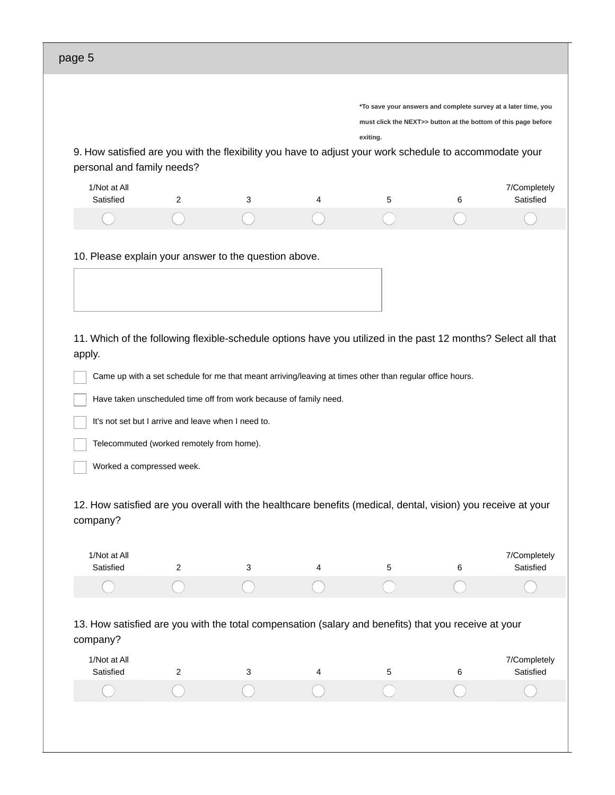|                                                                                                                                                                                                                                                                           |                                                     |                                                                                                          |                |          | *To save your answers and complete survey at a later time, you |                                                        |
|---------------------------------------------------------------------------------------------------------------------------------------------------------------------------------------------------------------------------------------------------------------------------|-----------------------------------------------------|----------------------------------------------------------------------------------------------------------|----------------|----------|----------------------------------------------------------------|--------------------------------------------------------|
|                                                                                                                                                                                                                                                                           |                                                     |                                                                                                          |                |          | must click the NEXT>> button at the bottom of this page before |                                                        |
|                                                                                                                                                                                                                                                                           |                                                     |                                                                                                          |                | exiting. |                                                                |                                                        |
| 9. How satisfied are you with the flexibility you have to adjust your work schedule to accommodate your<br>personal and family needs?                                                                                                                                     |                                                     |                                                                                                          |                |          |                                                                |                                                        |
|                                                                                                                                                                                                                                                                           |                                                     |                                                                                                          |                |          |                                                                |                                                        |
| 1/Not at All<br>Satisfied                                                                                                                                                                                                                                                 | 2                                                   | 3                                                                                                        | 4              | 5        | 6                                                              | 7/Completely<br>Satisfied                              |
|                                                                                                                                                                                                                                                                           |                                                     |                                                                                                          |                |          |                                                                |                                                        |
|                                                                                                                                                                                                                                                                           |                                                     |                                                                                                          |                |          |                                                                |                                                        |
| 10. Please explain your answer to the question above.                                                                                                                                                                                                                     |                                                     |                                                                                                          |                |          |                                                                |                                                        |
|                                                                                                                                                                                                                                                                           |                                                     |                                                                                                          |                |          |                                                                |                                                        |
|                                                                                                                                                                                                                                                                           |                                                     |                                                                                                          |                |          |                                                                |                                                        |
|                                                                                                                                                                                                                                                                           |                                                     |                                                                                                          |                |          |                                                                |                                                        |
|                                                                                                                                                                                                                                                                           |                                                     |                                                                                                          |                |          |                                                                |                                                        |
|                                                                                                                                                                                                                                                                           |                                                     |                                                                                                          |                |          |                                                                |                                                        |
|                                                                                                                                                                                                                                                                           |                                                     | Came up with a set schedule for me that meant arriving/leaving at times other than regular office hours. |                |          |                                                                |                                                        |
|                                                                                                                                                                                                                                                                           |                                                     | Have taken unscheduled time off from work because of family need.                                        |                |          |                                                                |                                                        |
|                                                                                                                                                                                                                                                                           | It's not set but I arrive and leave when I need to. |                                                                                                          |                |          |                                                                |                                                        |
|                                                                                                                                                                                                                                                                           | Telecommuted (worked remotely from home).           |                                                                                                          |                |          |                                                                |                                                        |
| Worked a compressed week.                                                                                                                                                                                                                                                 |                                                     |                                                                                                          |                |          |                                                                |                                                        |
|                                                                                                                                                                                                                                                                           |                                                     |                                                                                                          |                |          |                                                                |                                                        |
|                                                                                                                                                                                                                                                                           |                                                     |                                                                                                          |                |          |                                                                |                                                        |
| 1/Not at All                                                                                                                                                                                                                                                              |                                                     |                                                                                                          |                |          |                                                                |                                                        |
| Satisfied                                                                                                                                                                                                                                                                 | 2                                                   | 3                                                                                                        | 4              | 5        | 6                                                              |                                                        |
|                                                                                                                                                                                                                                                                           |                                                     |                                                                                                          |                |          |                                                                |                                                        |
|                                                                                                                                                                                                                                                                           |                                                     |                                                                                                          |                |          |                                                                |                                                        |
|                                                                                                                                                                                                                                                                           |                                                     |                                                                                                          |                |          |                                                                |                                                        |
|                                                                                                                                                                                                                                                                           |                                                     |                                                                                                          |                |          |                                                                |                                                        |
| 12. How satisfied are you overall with the healthcare benefits (medical, dental, vision) you receive at your<br>company?<br>13. How satisfied are you with the total compensation (salary and benefits) that you receive at your<br>company?<br>1/Not at All<br>Satisfied | 2                                                   | 3                                                                                                        | $\overline{4}$ | 5        | 6                                                              |                                                        |
|                                                                                                                                                                                                                                                                           |                                                     |                                                                                                          |                |          |                                                                | 7/Completely<br>Satisfied<br>7/Completely<br>Satisfied |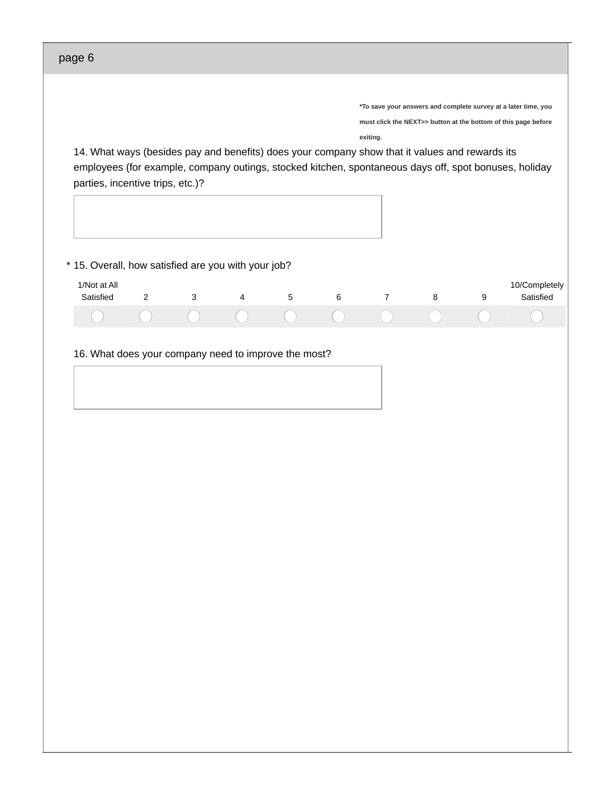| page 6                                                                                                                                                                                                                                      |   |   |   |   |   |                                                                                                                                              |   |   |                            |
|---------------------------------------------------------------------------------------------------------------------------------------------------------------------------------------------------------------------------------------------|---|---|---|---|---|----------------------------------------------------------------------------------------------------------------------------------------------|---|---|----------------------------|
| 14. What ways (besides pay and benefits) does your company show that it values and rewards its<br>employees (for example, company outings, stocked kitchen, spontaneous days off, spot bonuses, holiday<br>parties, incentive trips, etc.)? |   |   |   |   |   | *To save your answers and complete survey at a later time, you<br>must click the NEXT>> button at the bottom of this page before<br>exiting. |   |   |                            |
| * 15. Overall, how satisfied are you with your job?<br>1/Not at All<br>Satisfied                                                                                                                                                            | 2 | 3 | 4 | 5 | 6 | $\overline{7}$                                                                                                                               | 8 | 9 | 10/Completely<br>Satisfied |
| 16. What does your company need to improve the most?                                                                                                                                                                                        |   |   |   |   |   |                                                                                                                                              |   |   |                            |
|                                                                                                                                                                                                                                             |   |   |   |   |   |                                                                                                                                              |   |   |                            |
|                                                                                                                                                                                                                                             |   |   |   |   |   |                                                                                                                                              |   |   |                            |
|                                                                                                                                                                                                                                             |   |   |   |   |   |                                                                                                                                              |   |   |                            |
|                                                                                                                                                                                                                                             |   |   |   |   |   |                                                                                                                                              |   |   |                            |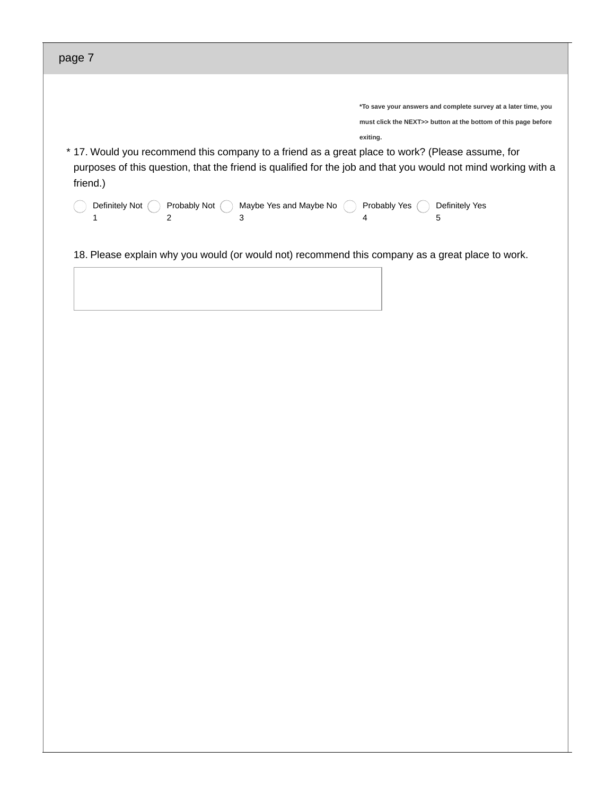| page 7                                                                                                                                                                                                                         |                                                                                                                                  |
|--------------------------------------------------------------------------------------------------------------------------------------------------------------------------------------------------------------------------------|----------------------------------------------------------------------------------------------------------------------------------|
|                                                                                                                                                                                                                                | *To save your answers and complete survey at a later time, you<br>must click the NEXT>> button at the bottom of this page before |
|                                                                                                                                                                                                                                | exiting.                                                                                                                         |
| * 17. Would you recommend this company to a friend as a great place to work? (Please assume, for<br>purposes of this question, that the friend is qualified for the job and that you would not mind working with a<br>friend.) |                                                                                                                                  |
| Definitely Not<br>Probably Not<br>Maybe Yes and Maybe No<br>2<br>3<br>1                                                                                                                                                        | Probably Yes<br>Definitely Yes<br>5<br>4                                                                                         |
| 18. Please explain why you would (or would not) recommend this company as a great place to work.                                                                                                                               |                                                                                                                                  |
|                                                                                                                                                                                                                                |                                                                                                                                  |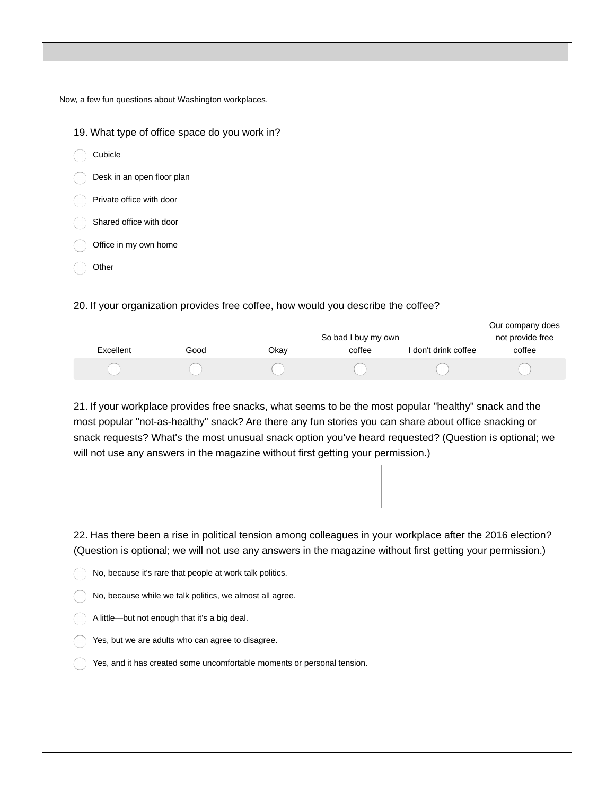| Now, a few fun questions about Washington workplaces.                             |      |      |                     |                      |                                      |
|-----------------------------------------------------------------------------------|------|------|---------------------|----------------------|--------------------------------------|
| 19. What type of office space do you work in?                                     |      |      |                     |                      |                                      |
| Cubicle                                                                           |      |      |                     |                      |                                      |
| Desk in an open floor plan                                                        |      |      |                     |                      |                                      |
| Private office with door                                                          |      |      |                     |                      |                                      |
| Shared office with door                                                           |      |      |                     |                      |                                      |
| Office in my own home                                                             |      |      |                     |                      |                                      |
| Other                                                                             |      |      |                     |                      |                                      |
| 20. If your organization provides free coffee, how would you describe the coffee? |      |      |                     |                      |                                      |
|                                                                                   |      |      | So bad I buy my own |                      | Our company does<br>not provide free |
| Excellent                                                                         | Good | Okay | coffee              | I don't drink coffee | coffee                               |
|                                                                                   |      |      |                     |                      |                                      |

21. If your workplace provides free snacks, what seems to be the most popular "healthy" snack and the most popular "not-as-healthy" snack? Are there any fun stories you can share about office snacking or snack requests? What's the most unusual snack option you've heard requested? (Question is optional; we will not use any answers in the magazine without first getting your permission.)

22. Has there been a rise in political tension among colleagues in your workplace after the 2016 election? (Question is optional; we will not use any answers in the magazine without first getting your permission.)

- $\bigcirc$  No, because it's rare that people at work talk politics.
- No, because while we talk politics, we almost all agree.
- A little—but not enough that it's a big deal.
- Yes, but we are adults who can agree to disagree.
- Yes, and it has created some uncomfortable moments or personal tension.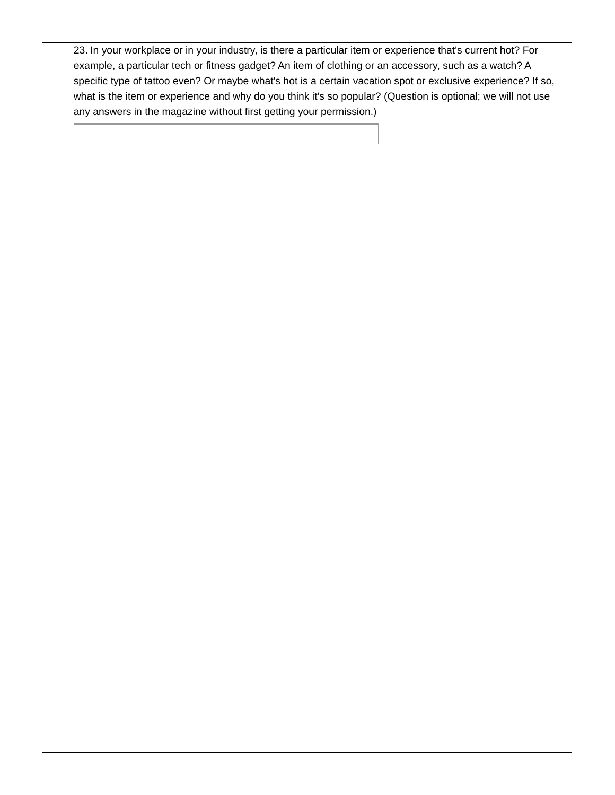23. In your workplace or in your industry, is there a particular item or experience that's current hot? For example, a particular tech or fitness gadget? An item of clothing or an accessory, such as a watch? A specific type of tattoo even? Or maybe what's hot is a certain vacation spot or exclusive experience? If so, what is the item or experience and why do you think it's so popular? (Question is optional; we will not use any answers in the magazine without first getting your permission.)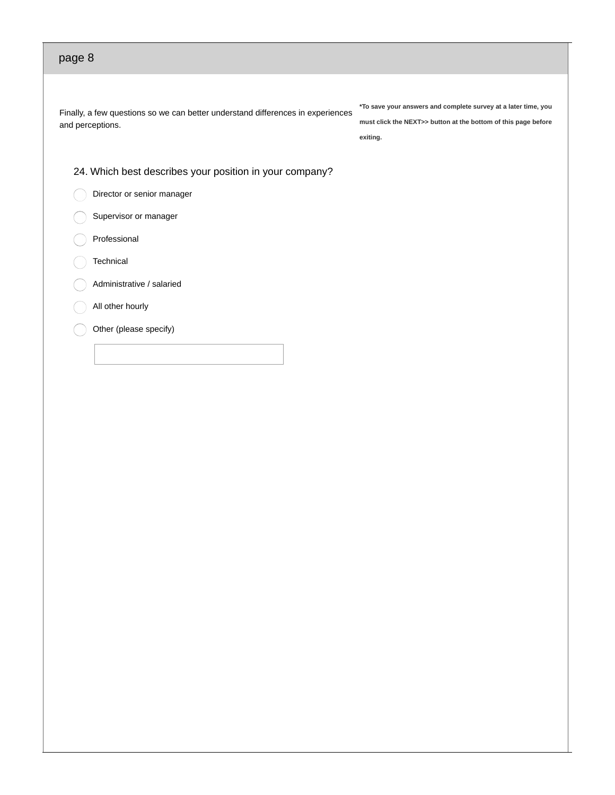Finally, a few questions so we can better understand differences in experiences and perceptions.

**\*To save your answers and complete survey at a later time, you must click the NEXT>> button at the bottom of this page before exiting.**

24. Which best describes your position in your company?

Director or senior manager

Supervisor or manager

Professional

**Technical** 

Administrative / salaried

All other hourly

Other (please specify)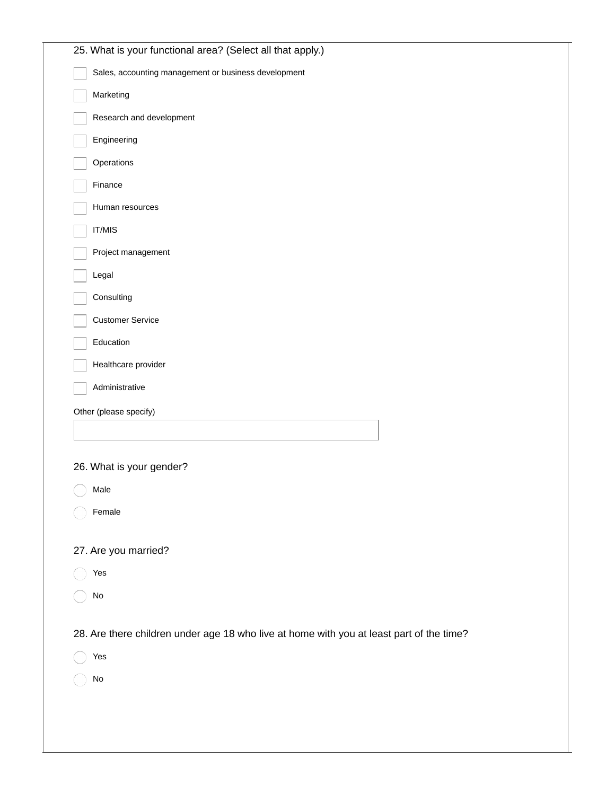| 25. What is your functional area? (Select all that apply.)                               |
|------------------------------------------------------------------------------------------|
| Sales, accounting management or business development                                     |
| Marketing                                                                                |
| Research and development                                                                 |
| Engineering                                                                              |
| Operations                                                                               |
| Finance                                                                                  |
| Human resources                                                                          |
| IT/MIS                                                                                   |
| Project management                                                                       |
| Legal                                                                                    |
| Consulting                                                                               |
| <b>Customer Service</b>                                                                  |
| Education                                                                                |
| Healthcare provider                                                                      |
| Administrative                                                                           |
| Other (please specify)                                                                   |
|                                                                                          |
|                                                                                          |
| 26. What is your gender?<br>Male                                                         |
|                                                                                          |
| Female                                                                                   |
| 27. Are you married?                                                                     |
| Yes                                                                                      |
| $\rm No$                                                                                 |
|                                                                                          |
| 28. Are there children under age 18 who live at home with you at least part of the time? |
| Yes                                                                                      |
| No                                                                                       |
|                                                                                          |
|                                                                                          |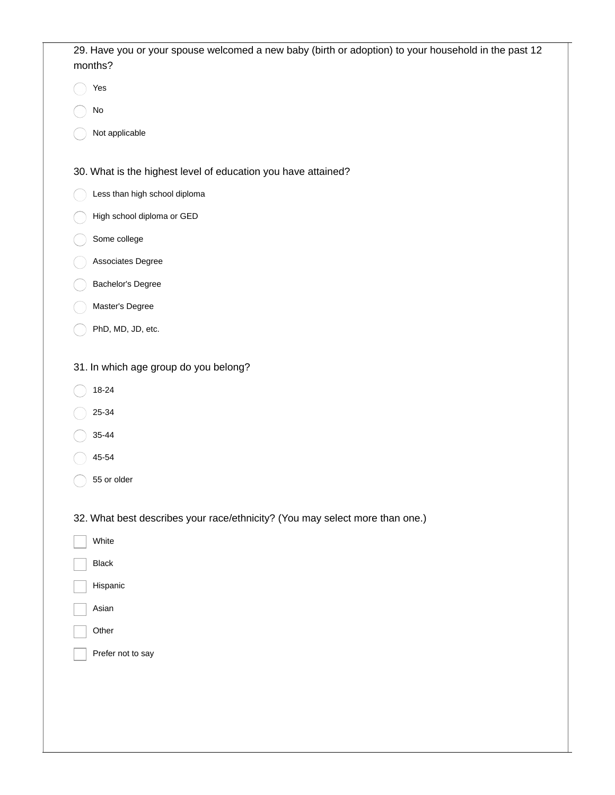| 29. Have you or your spouse welcomed a new baby (birth or adoption) to your household in the past 12<br>months? |
|-----------------------------------------------------------------------------------------------------------------|
| Yes                                                                                                             |
| $\rm No$                                                                                                        |
| Not applicable                                                                                                  |
| 30. What is the highest level of education you have attained?                                                   |
| Less than high school diploma                                                                                   |
| High school diploma or GED                                                                                      |
| Some college                                                                                                    |
| Associates Degree                                                                                               |
| Bachelor's Degree                                                                                               |
| Master's Degree                                                                                                 |
| PhD, MD, JD, etc.                                                                                               |
| 31. In which age group do you belong?                                                                           |
| $18 - 24$                                                                                                       |
| 25-34                                                                                                           |
| 35-44                                                                                                           |
| 45-54                                                                                                           |
| 55 or older                                                                                                     |
| 32. What best describes your race/ethnicity? (You may select more than one.)                                    |
| White                                                                                                           |
| <b>Black</b>                                                                                                    |
| Hispanic                                                                                                        |
| Asian                                                                                                           |
| Other                                                                                                           |
| Prefer not to say                                                                                               |